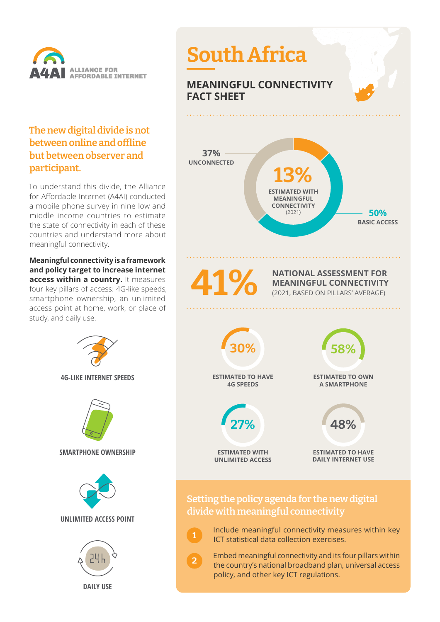

## **The new digital divide is not between online and offline but between observer and participant.**

To understand this divide, the Alliance for Affordable Internet (A4AI) conducted a mobile phone survey in nine low and middle income countries to estimate the state of connectivity in each of these countries and understand more about meaningful connectivity.

**Meaningful connectivity is a framework and policy target to increase internet access within a country.** It measures four key pillars of access: 4G-like speeds, smartphone ownership, an unlimited access point at home, work, or place of study, and daily use.





 Include meaningful connectivity measures within key ICT statistical data collection exercises.

**1**

**2**

 Embed meaningful connectivity and its four pillars within the country's national broadband plan, universal access policy, and other key ICT regulations.